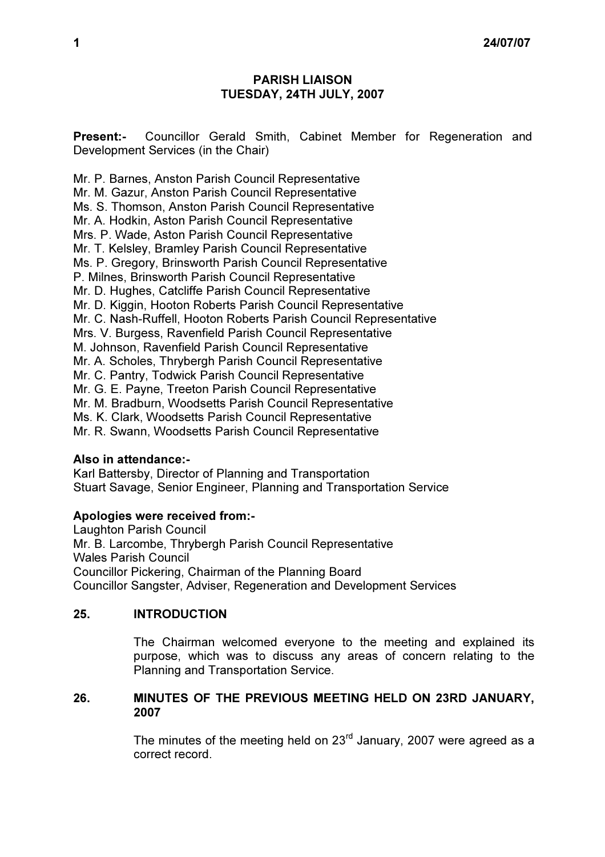# PARISH LIAISON TUESDAY, 24TH JULY, 2007

Present:- Councillor Gerald Smith, Cabinet Member for Regeneration and Development Services (in the Chair)

Mr. P. Barnes, Anston Parish Council Representative Mr. M. Gazur, Anston Parish Council Representative Ms. S. Thomson, Anston Parish Council Representative Mr. A. Hodkin, Aston Parish Council Representative Mrs. P. Wade, Aston Parish Council Representative Mr. T. Kelsley, Bramley Parish Council Representative Ms. P. Gregory, Brinsworth Parish Council Representative P. Milnes, Brinsworth Parish Council Representative Mr. D. Hughes, Catcliffe Parish Council Representative Mr. D. Kiggin, Hooton Roberts Parish Council Representative Mr. C. Nash-Ruffell, Hooton Roberts Parish Council Representative Mrs. V. Burgess, Ravenfield Parish Council Representative M. Johnson, Ravenfield Parish Council Representative Mr. A. Scholes, Thrybergh Parish Council Representative Mr. C. Pantry, Todwick Parish Council Representative Mr. G. E. Payne, Treeton Parish Council Representative Mr. M. Bradburn, Woodsetts Parish Council Representative Ms. K. Clark, Woodsetts Parish Council Representative Mr. R. Swann, Woodsetts Parish Council Representative

# Also in attendance:-

Karl Battersby, Director of Planning and Transportation Stuart Savage, Senior Engineer, Planning and Transportation Service

#### Apologies were received from:-

Laughton Parish Council Mr. B. Larcombe, Thrybergh Parish Council Representative Wales Parish Council Councillor Pickering, Chairman of the Planning Board Councillor Sangster, Adviser, Regeneration and Development Services

# 25. INTRODUCTION

 The Chairman welcomed everyone to the meeting and explained its purpose, which was to discuss any areas of concern relating to the Planning and Transportation Service.

### 26. MINUTES OF THE PREVIOUS MEETING HELD ON 23RD JANUARY, 2007

The minutes of the meeting held on  $23<sup>rd</sup>$  January, 2007 were agreed as a correct record.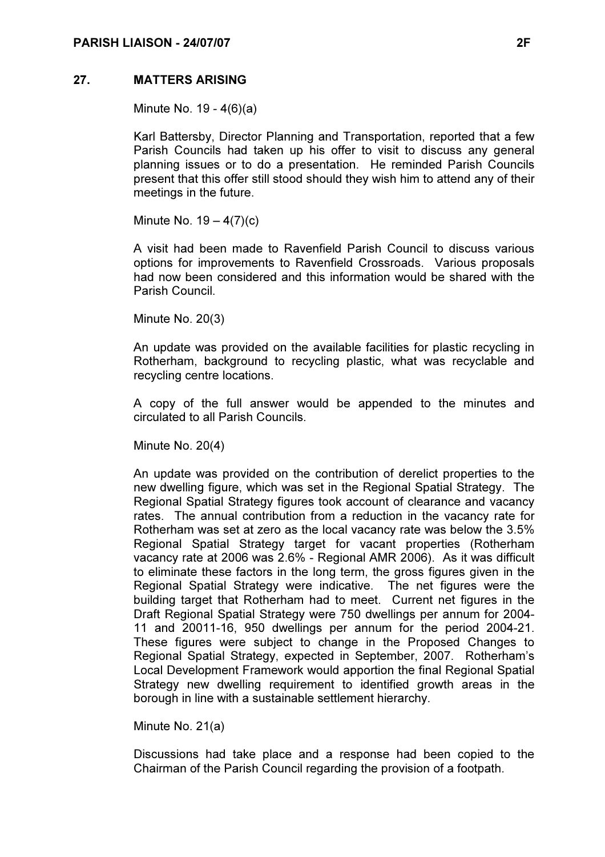### 27. MATTERS ARISING

Minute No. 19 - 4(6)(a)

Karl Battersby, Director Planning and Transportation, reported that a few Parish Councils had taken up his offer to visit to discuss any general planning issues or to do a presentation. He reminded Parish Councils present that this offer still stood should they wish him to attend any of their meetings in the future.

Minute No.  $19 - 4(7)(c)$ 

A visit had been made to Ravenfield Parish Council to discuss various options for improvements to Ravenfield Crossroads. Various proposals had now been considered and this information would be shared with the Parish Council.

Minute No. 20(3)

An update was provided on the available facilities for plastic recycling in Rotherham, background to recycling plastic, what was recyclable and recycling centre locations.

A copy of the full answer would be appended to the minutes and circulated to all Parish Councils.

Minute No. 20(4)

An update was provided on the contribution of derelict properties to the new dwelling figure, which was set in the Regional Spatial Strategy. The Regional Spatial Strategy figures took account of clearance and vacancy rates. The annual contribution from a reduction in the vacancy rate for Rotherham was set at zero as the local vacancy rate was below the 3.5% Regional Spatial Strategy target for vacant properties (Rotherham vacancy rate at 2006 was 2.6% - Regional AMR 2006). As it was difficult to eliminate these factors in the long term, the gross figures given in the Regional Spatial Strategy were indicative. The net figures were the building target that Rotherham had to meet. Current net figures in the Draft Regional Spatial Strategy were 750 dwellings per annum for 2004- 11 and 20011-16, 950 dwellings per annum for the period 2004-21. These figures were subject to change in the Proposed Changes to Regional Spatial Strategy, expected in September, 2007. Rotherham's Local Development Framework would apportion the final Regional Spatial Strategy new dwelling requirement to identified growth areas in the borough in line with a sustainable settlement hierarchy.

Minute No. 21(a)

Discussions had take place and a response had been copied to the Chairman of the Parish Council regarding the provision of a footpath.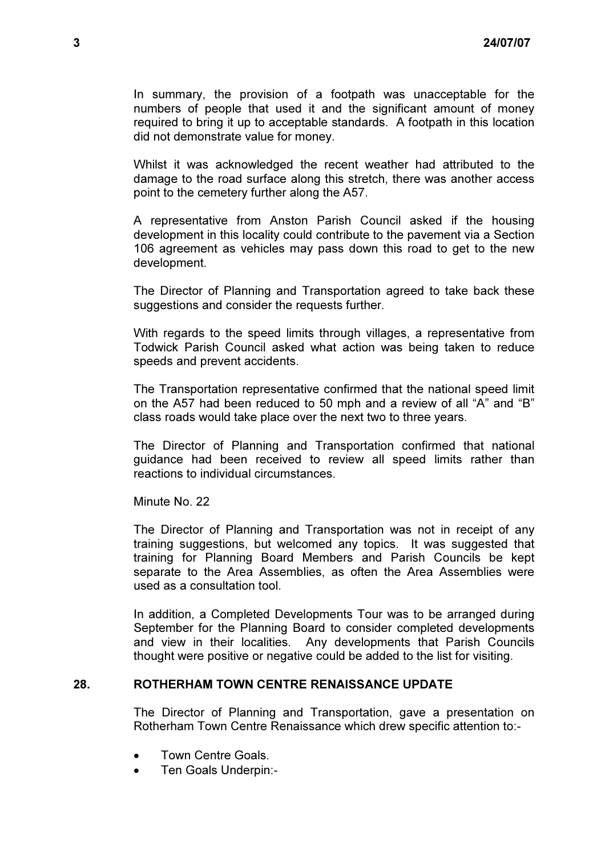In summary, the provision of a footpath was unacceptable for the numbers of people that used it and the significant amount of money required to bring it up to acceptable standards. A footpath in this location did not demonstrate value for money.

Whilst it was acknowledged the recent weather had attributed to the damage to the road surface along this stretch, there was another access point to the cemetery further along the A57.

A representative from Anston Parish Council asked if the housing development in this locality could contribute to the pavement via a Section 106 agreement as vehicles may pass down this road to get to the new development.

The Director of Planning and Transportation agreed to take back these suggestions and consider the requests further.

With regards to the speed limits through villages, a representative from Todwick Parish Council asked what action was being taken to reduce speeds and prevent accidents.

The Transportation representative confirmed that the national speed limit on the A57 had been reduced to 50 mph and a review of all "A" and "B" class roads would take place over the next two to three years.

The Director of Planning and Transportation confirmed that national guidance had been received to review all speed limits rather than reactions to individual circumstances.

Minute No. 22

The Director of Planning and Transportation was not in receipt of any training suggestions, but welcomed any topics. It was suggested that training for Planning Board Members and Parish Councils be kept separate to the Area Assemblies, as often the Area Assemblies were used as a consultation tool.

In addition, a Completed Developments Tour was to be arranged during September for the Planning Board to consider completed developments and view in their localities. Any developments that Parish Councils thought were positive or negative could be added to the list for visiting.

# 28. ROTHERHAM TOWN CENTRE RENAISSANCE UPDATE

 The Director of Planning and Transportation, gave a presentation on Rotherham Town Centre Renaissance which drew specific attention to:-

- Town Centre Goals.
- Ten Goals Underpin:-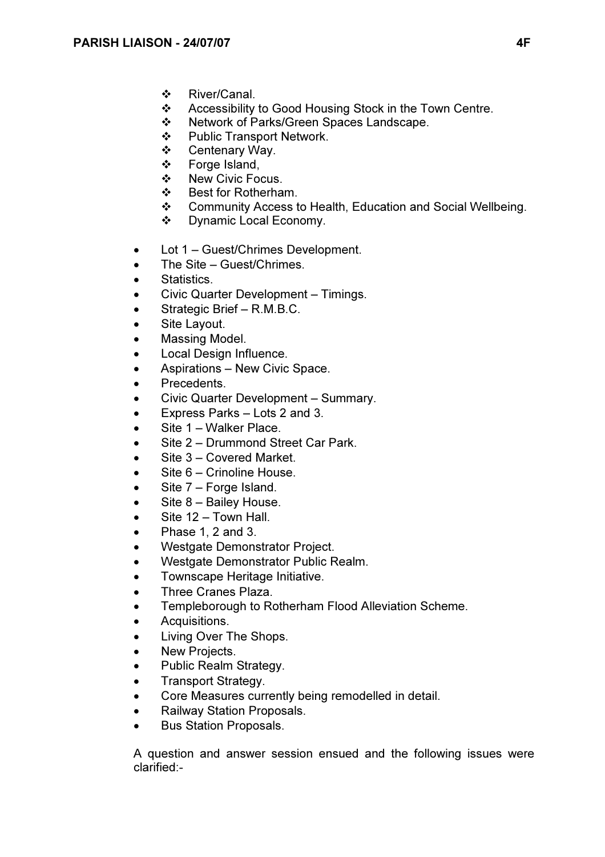- ❖ River/Canal.
- ❖ Accessibility to Good Housing Stock in the Town Centre.<br>❖ Network of Parks/Green Spaces Landscape
- Network of Parks/Green Spaces Landscape.
- ❖ Public Transport Network.
- Centenary Way.
- Forge Island,
- ❖ New Civic Focus.
- Best for Rotherham.
- Community Access to Health, Education and Social Wellbeing.
- Dynamic Local Economy.
- Lot 1 Guest/Chrimes Development.
- The Site Guest/Chrimes.
- Statistics.
- Civic Quarter Development Timings.
- Strategic Brief R.M.B.C.
- Site Layout.
- Massing Model.
- Local Design Influence.
- Aspirations New Civic Space.
- Precedents.
- Civic Quarter Development Summary.
- Express Parks Lots 2 and 3.
- Site 1 Walker Place.
- Site 2 Drummond Street Car Park.
- Site 3 Covered Market.
- Site 6 Crinoline House.
- Site 7 Forge Island.
- Site 8 Bailey House.
- Site 12 Town Hall.
- Phase 1, 2 and 3.
- Westgate Demonstrator Project.
- Westgate Demonstrator Public Realm.
- Townscape Heritage Initiative.
- Three Cranes Plaza.
- Templeborough to Rotherham Flood Alleviation Scheme.
- Acquisitions.
- Living Over The Shops.
- New Projects.
- Public Realm Strategy.
- Transport Strategy.
- Core Measures currently being remodelled in detail.
- Railway Station Proposals.
- Bus Station Proposals.

A question and answer session ensued and the following issues were clarified:-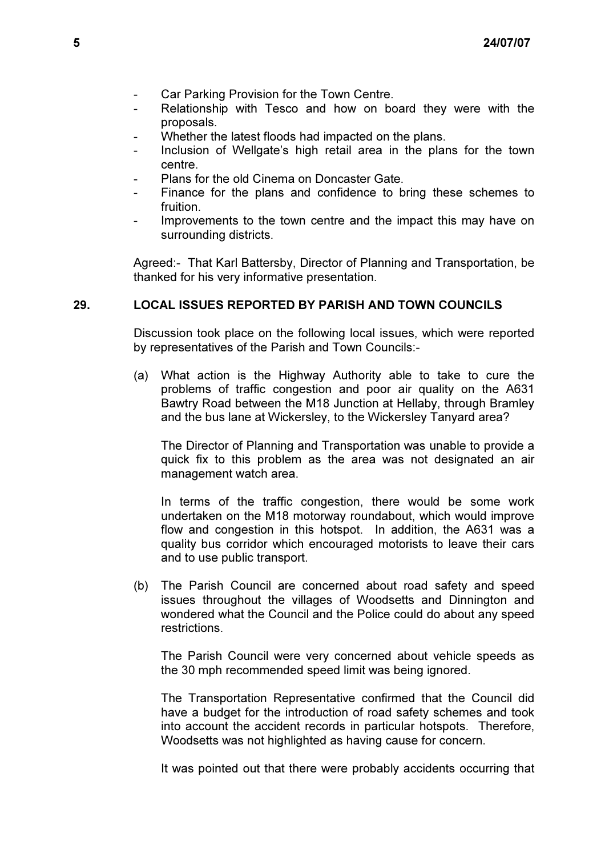- Car Parking Provision for the Town Centre.
- Relationship with Tesco and how on board they were with the proposals.
- Whether the latest floods had impacted on the plans.
- Inclusion of Wellgate's high retail area in the plans for the town centre.
- Plans for the old Cinema on Doncaster Gate.
- Finance for the plans and confidence to bring these schemes to fruition.
- Improvements to the town centre and the impact this may have on surrounding districts.

Agreed:- That Karl Battersby, Director of Planning and Transportation, be thanked for his very informative presentation.

### 29. LOCAL ISSUES REPORTED BY PARISH AND TOWN COUNCILS

 Discussion took place on the following local issues, which were reported by representatives of the Parish and Town Councils:-

(a) What action is the Highway Authority able to take to cure the problems of traffic congestion and poor air quality on the A631 Bawtry Road between the M18 Junction at Hellaby, through Bramley and the bus lane at Wickersley, to the Wickersley Tanyard area?

 The Director of Planning and Transportation was unable to provide a quick fix to this problem as the area was not designated an air management watch area.

 In terms of the traffic congestion, there would be some work undertaken on the M18 motorway roundabout, which would improve flow and congestion in this hotspot. In addition, the A631 was a quality bus corridor which encouraged motorists to leave their cars and to use public transport.

(b) The Parish Council are concerned about road safety and speed issues throughout the villages of Woodsetts and Dinnington and wondered what the Council and the Police could do about any speed restrictions.

 The Parish Council were very concerned about vehicle speeds as the 30 mph recommended speed limit was being ignored.

 The Transportation Representative confirmed that the Council did have a budget for the introduction of road safety schemes and took into account the accident records in particular hotspots. Therefore, Woodsetts was not highlighted as having cause for concern.

It was pointed out that there were probably accidents occurring that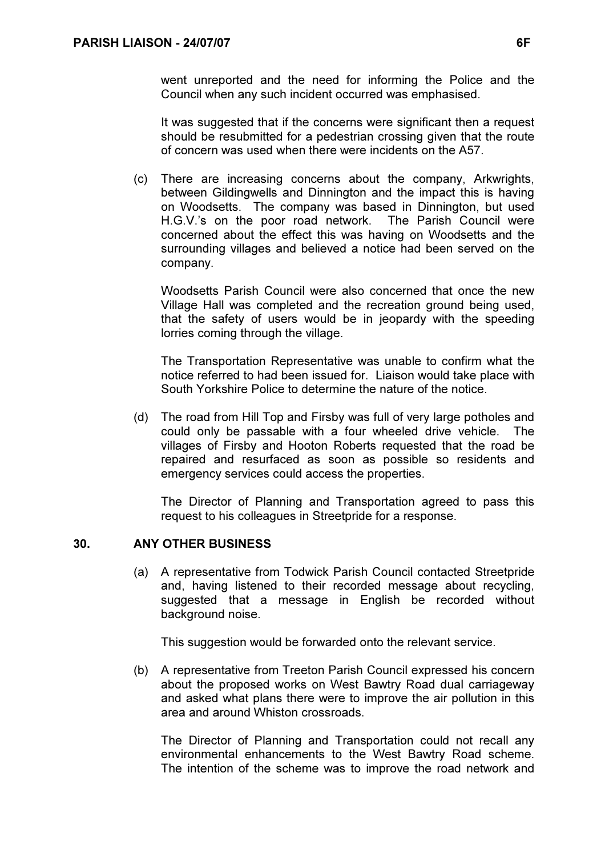went unreported and the need for informing the Police and the Council when any such incident occurred was emphasised.

 It was suggested that if the concerns were significant then a request should be resubmitted for a pedestrian crossing given that the route of concern was used when there were incidents on the A57.

(c) There are increasing concerns about the company, Arkwrights, between Gildingwells and Dinnington and the impact this is having on Woodsetts. The company was based in Dinnington, but used H.G.V.'s on the poor road network. The Parish Council were concerned about the effect this was having on Woodsetts and the surrounding villages and believed a notice had been served on the company.

 Woodsetts Parish Council were also concerned that once the new Village Hall was completed and the recreation ground being used, that the safety of users would be in jeopardy with the speeding lorries coming through the village.

 The Transportation Representative was unable to confirm what the notice referred to had been issued for. Liaison would take place with South Yorkshire Police to determine the nature of the notice.

(d) The road from Hill Top and Firsby was full of very large potholes and could only be passable with a four wheeled drive vehicle. The villages of Firsby and Hooton Roberts requested that the road be repaired and resurfaced as soon as possible so residents and emergency services could access the properties.

 The Director of Planning and Transportation agreed to pass this request to his colleagues in Streetpride for a response.

# 30. ANY OTHER BUSINESS

 (a) A representative from Todwick Parish Council contacted Streetpride and, having listened to their recorded message about recycling, suggested that a message in English be recorded without background noise.

This suggestion would be forwarded onto the relevant service.

(b) A representative from Treeton Parish Council expressed his concern about the proposed works on West Bawtry Road dual carriageway and asked what plans there were to improve the air pollution in this area and around Whiston crossroads.

 The Director of Planning and Transportation could not recall any environmental enhancements to the West Bawtry Road scheme. The intention of the scheme was to improve the road network and